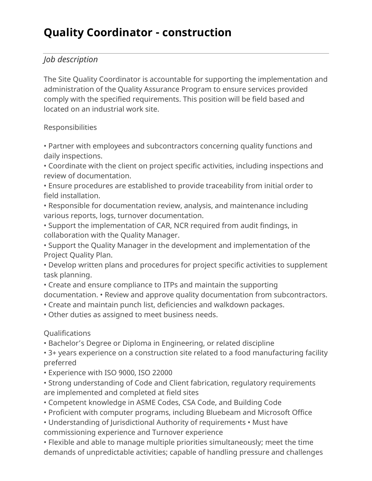# **Quality Coordinator - construction**

## *Job description*

The Site Quality Coordinator is accountable for supporting the implementation and administration of the Quality Assurance Program to ensure services provided comply with the specified requirements. This position will be field based and located on an industrial work site.

#### Responsibilities

• Partner with employees and subcontractors concerning quality functions and daily inspections.

• Coordinate with the client on project specific activities, including inspections and review of documentation.

• Ensure procedures are established to provide traceability from initial order to field installation.

• Responsible for documentation review, analysis, and maintenance including various reports, logs, turnover documentation.

• Support the implementation of CAR, NCR required from audit findings, in collaboration with the Quality Manager.

• Support the Quality Manager in the development and implementation of the Project Quality Plan.

• Develop written plans and procedures for project specific activities to supplement task planning.

• Create and ensure compliance to ITPs and maintain the supporting

documentation. • Review and approve quality documentation from subcontractors.

- Create and maintain punch list, deficiencies and walkdown packages.
- Other duties as assigned to meet business needs.

## Qualifications

• Bachelor's Degree or Diploma in Engineering, or related discipline

• 3+ years experience on a construction site related to a food manufacturing facility preferred

- Experience with ISO 9000, ISO 22000
- Strong understanding of Code and Client fabrication, regulatory requirements are implemented and completed at field sites
- Competent knowledge in ASME Codes, CSA Code, and Building Code
- Proficient with computer programs, including Bluebeam and Microsoft Office
- Understanding of Jurisdictional Authority of requirements Must have commissioning experience and Turnover experience

• Flexible and able to manage multiple priorities simultaneously; meet the time demands of unpredictable activities; capable of handling pressure and challenges